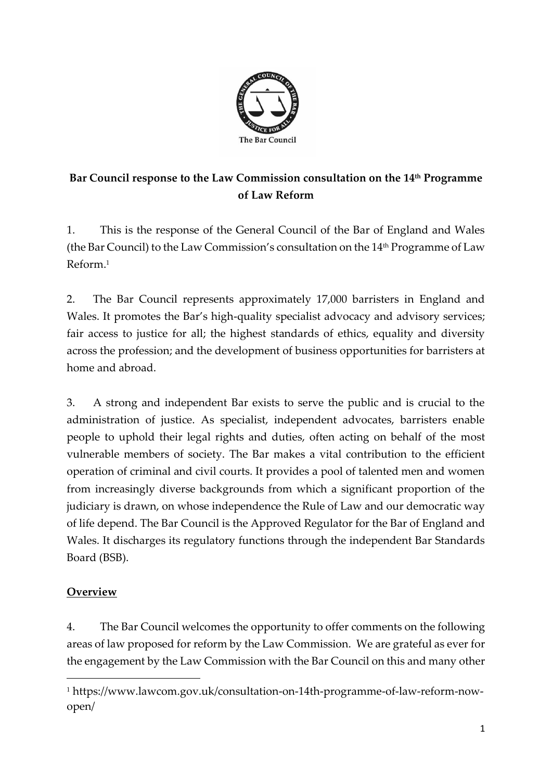

# **Bar Council response to the Law Commission consultation on the 14th Programme of Law Reform**

1. This is the response of the General Council of the Bar of England and Wales (the Bar Council) to the Law Commission's consultation on the  $14<sup>th</sup>$  Programme of Law Reform. 1

2. The Bar Council represents approximately 17,000 barristers in England and Wales. It promotes the Bar's high-quality specialist advocacy and advisory services; fair access to justice for all; the highest standards of ethics, equality and diversity across the profession; and the development of business opportunities for barristers at home and abroad.

3. A strong and independent Bar exists to serve the public and is crucial to the administration of justice. As specialist, independent advocates, barristers enable people to uphold their legal rights and duties, often acting on behalf of the most vulnerable members of society. The Bar makes a vital contribution to the efficient operation of criminal and civil courts. It provides a pool of talented men and women from increasingly diverse backgrounds from which a significant proportion of the judiciary is drawn, on whose independence the Rule of Law and our democratic way of life depend. The Bar Council is the Approved Regulator for the Bar of England and Wales. It discharges its regulatory functions through the independent Bar Standards Board (BSB).

# **Overview**

4. The Bar Council welcomes the opportunity to offer comments on the following areas of law proposed for reform by the Law Commission. We are grateful as ever for the engagement by the Law Commission with the Bar Council on this and many other

<sup>1</sup> https://www.lawcom.gov.uk/consultation-on-14th-programme-of-law-reform-nowopen/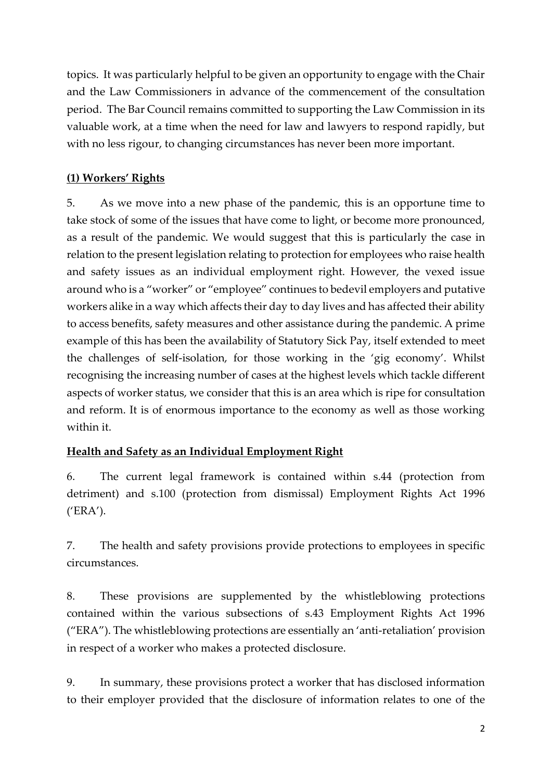topics. It was particularly helpful to be given an opportunity to engage with the Chair and the Law Commissioners in advance of the commencement of the consultation period. The Bar Council remains committed to supporting the Law Commission in its valuable work, at a time when the need for law and lawyers to respond rapidly, but with no less rigour, to changing circumstances has never been more important.

## **(1) Workers' Rights**

5. As we move into a new phase of the pandemic, this is an opportune time to take stock of some of the issues that have come to light, or become more pronounced, as a result of the pandemic. We would suggest that this is particularly the case in relation to the present legislation relating to protection for employees who raise health and safety issues as an individual employment right. However, the vexed issue around who is a "worker" or "employee" continues to bedevil employers and putative workers alike in a way which affects their day to day lives and has affected their ability to access benefits, safety measures and other assistance during the pandemic. A prime example of this has been the availability of Statutory Sick Pay, itself extended to meet the challenges of self-isolation, for those working in the 'gig economy'. Whilst recognising the increasing number of cases at the highest levels which tackle different aspects of worker status, we consider that this is an area which is ripe for consultation and reform. It is of enormous importance to the economy as well as those working within it.

## **Health and Safety as an Individual Employment Right**

6. The current legal framework is contained within s.44 (protection from detriment) and s.100 (protection from dismissal) Employment Rights Act 1996 ('ERA').

7. The health and safety provisions provide protections to employees in specific circumstances.

8. These provisions are supplemented by the whistleblowing protections contained within the various subsections of s.43 Employment Rights Act 1996 ("ERA"). The whistleblowing protections are essentially an 'anti-retaliation' provision in respect of a worker who makes a protected disclosure.

9. In summary, these provisions protect a worker that has disclosed information to their employer provided that the disclosure of information relates to one of the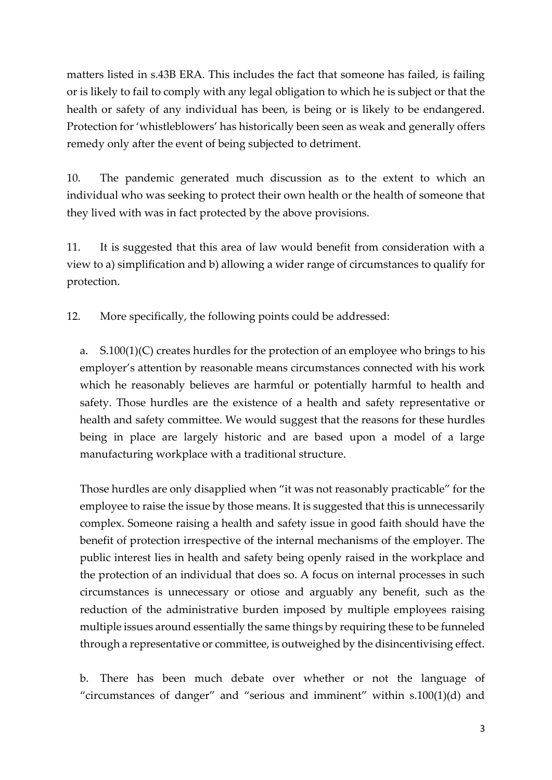matters listed in s.43B ERA. This includes the fact that someone has failed, is failing or is likely to fail to comply with any legal obligation to which he is subject or that the health or safety of any individual has been, is being or is likely to be endangered. Protection for 'whistleblowers' has historically been seen as weak and generally offers remedy only after the event of being subjected to detriment.

10. The pandemic generated much discussion as to the extent to which an individual who was seeking to protect their own health or the health of someone that they lived with was in fact protected by the above provisions.

11. It is suggested that this area of law would benefit from consideration with a view to a) simplification and b) allowing a wider range of circumstances to qualify for protection.

12. More specifically, the following points could be addressed:

a. S.100(1)(C) creates hurdles for the protection of an employee who brings to his employer's attention by reasonable means circumstances connected with his work which he reasonably believes are harmful or potentially harmful to health and safety. Those hurdles are the existence of a health and safety representative or health and safety committee. We would suggest that the reasons for these hurdles being in place are largely historic and are based upon a model of a large manufacturing workplace with a traditional structure.

Those hurdles are only disapplied when "it was not reasonably practicable" for the employee to raise the issue by those means. It is suggested that this is unnecessarily complex. Someone raising a health and safety issue in good faith should have the benefit of protection irrespective of the internal mechanisms of the employer. The public interest lies in health and safety being openly raised in the workplace and the protection of an individual that does so. A focus on internal processes in such circumstances is unnecessary or otiose and arguably any benefit, such as the reduction of the administrative burden imposed by multiple employees raising multiple issues around essentially the same things by requiring these to be funneled through a representative or committee, is outweighed by the disincentivising effect.

b. There has been much debate over whether or not the language of "circumstances of danger" and "serious and imminent" within  $s.100(1)(d)$  and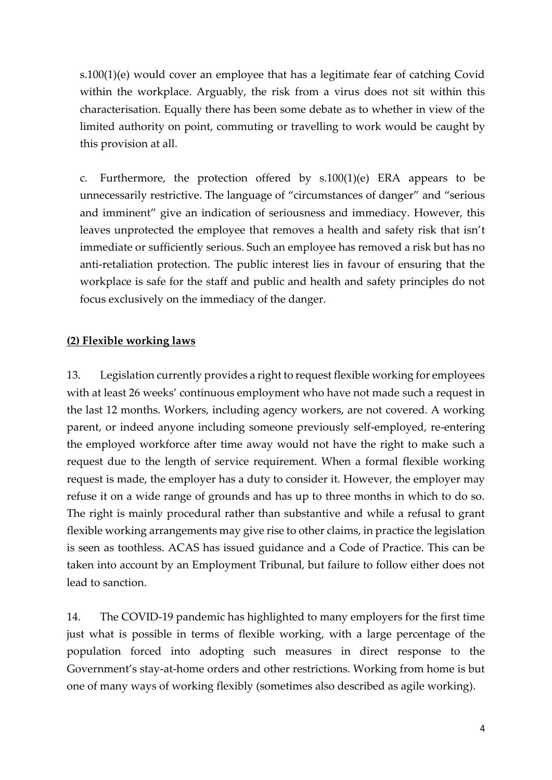s.100(1)(e) would cover an employee that has a legitimate fear of catching Covid within the workplace. Arguably, the risk from a virus does not sit within this characterisation. Equally there has been some debate as to whether in view of the limited authority on point, commuting or travelling to work would be caught by this provision at all.

c. Furthermore, the protection offered by  $s.100(1)(e)$  ERA appears to be unnecessarily restrictive. The language of "circumstances of danger" and "serious and imminent" give an indication of seriousness and immediacy. However, this leaves unprotected the employee that removes a health and safety risk that isn't immediate or sufficiently serious. Such an employee has removed a risk but has no anti-retaliation protection. The public interest lies in favour of ensuring that the workplace is safe for the staff and public and health and safety principles do not focus exclusively on the immediacy of the danger.

#### **(2) Flexible working laws**

13. Legislation currently provides a right to request flexible working for employees with at least 26 weeks' continuous employment who have not made such a request in the last 12 months. Workers, including agency workers, are not covered. A working parent, or indeed anyone including someone previously self-employed, re-entering the employed workforce after time away would not have the right to make such a request due to the length of service requirement. When a formal flexible working request is made, the employer has a duty to consider it. However, the employer may refuse it on a wide range of grounds and has up to three months in which to do so. The right is mainly procedural rather than substantive and while a refusal to grant flexible working arrangements may give rise to other claims, in practice the legislation is seen as toothless. ACAS has issued guidance and a Code of Practice. This can be taken into account by an Employment Tribunal, but failure to follow either does not lead to sanction.

14. The COVID-19 pandemic has highlighted to many employers for the first time just what is possible in terms of flexible working, with a large percentage of the population forced into adopting such measures in direct response to the Government's stay-at-home orders and other restrictions. Working from home is but one of many ways of working flexibly (sometimes also described as agile working).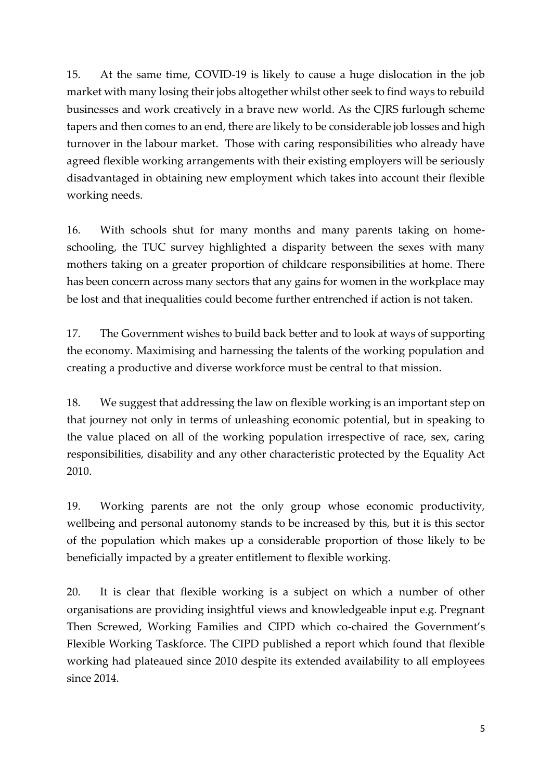15. At the same time, COVID-19 is likely to cause a huge dislocation in the job market with many losing their jobs altogether whilst other seek to find ways to rebuild businesses and work creatively in a brave new world. As the CJRS furlough scheme tapers and then comes to an end, there are likely to be considerable job losses and high turnover in the labour market. Those with caring responsibilities who already have agreed flexible working arrangements with their existing employers will be seriously disadvantaged in obtaining new employment which takes into account their flexible working needs.

16. With schools shut for many months and many parents taking on homeschooling, the TUC survey highlighted a disparity between the sexes with many mothers taking on a greater proportion of childcare responsibilities at home. There has been concern across many sectors that any gains for women in the workplace may be lost and that inequalities could become further entrenched if action is not taken.

17. The Government wishes to build back better and to look at ways of supporting the economy. Maximising and harnessing the talents of the working population and creating a productive and diverse workforce must be central to that mission.

18. We suggest that addressing the law on flexible working is an important step on that journey not only in terms of unleashing economic potential, but in speaking to the value placed on all of the working population irrespective of race, sex, caring responsibilities, disability and any other characteristic protected by the Equality Act 2010.

19. Working parents are not the only group whose economic productivity, wellbeing and personal autonomy stands to be increased by this, but it is this sector of the population which makes up a considerable proportion of those likely to be beneficially impacted by a greater entitlement to flexible working.

20. It is clear that flexible working is a subject on which a number of other organisations are providing insightful views and knowledgeable input e.g. Pregnant Then Screwed, Working Families and CIPD which co-chaired the Government's Flexible Working Taskforce. The CIPD published a report which found that flexible working had plateaued since 2010 despite its extended availability to all employees since 2014.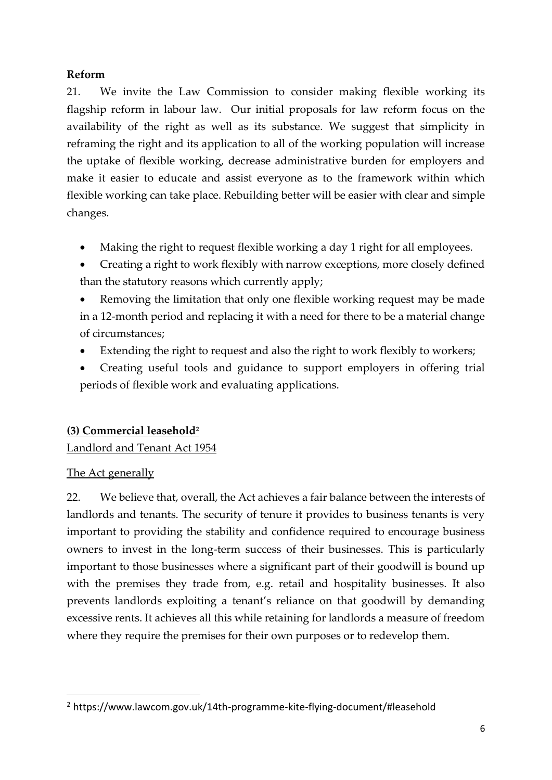#### **Reform**

21. We invite the Law Commission to consider making flexible working its flagship reform in labour law. Our initial proposals for law reform focus on the availability of the right as well as its substance. We suggest that simplicity in reframing the right and its application to all of the working population will increase the uptake of flexible working, decrease administrative burden for employers and make it easier to educate and assist everyone as to the framework within which flexible working can take place. Rebuilding better will be easier with clear and simple changes.

- Making the right to request flexible working a day 1 right for all employees.
- Creating a right to work flexibly with narrow exceptions, more closely defined than the statutory reasons which currently apply;

• Removing the limitation that only one flexible working request may be made in a 12-month period and replacing it with a need for there to be a material change of circumstances;

- Extending the right to request and also the right to work flexibly to workers;
- Creating useful tools and guidance to support employers in offering trial periods of flexible work and evaluating applications.

## **(3) Commercial leasehold<sup>2</sup>**

## Landlord and Tenant Act 1954

## The Act generally

22. We believe that, overall, the Act achieves a fair balance between the interests of landlords and tenants. The security of tenure it provides to business tenants is very important to providing the stability and confidence required to encourage business owners to invest in the long-term success of their businesses. This is particularly important to those businesses where a significant part of their goodwill is bound up with the premises they trade from, e.g. retail and hospitality businesses. It also prevents landlords exploiting a tenant's reliance on that goodwill by demanding excessive rents. It achieves all this while retaining for landlords a measure of freedom where they require the premises for their own purposes or to redevelop them.

<sup>2</sup> https://www.lawcom.gov.uk/14th-programme-kite-flying-document/#leasehold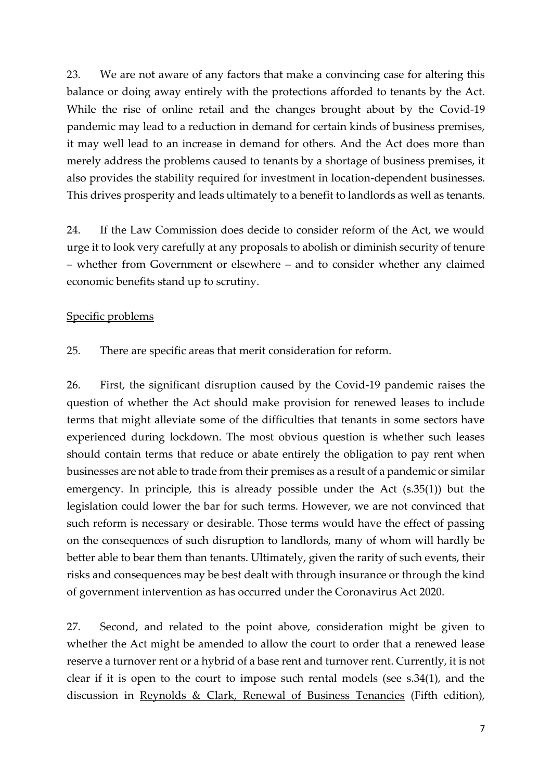23. We are not aware of any factors that make a convincing case for altering this balance or doing away entirely with the protections afforded to tenants by the Act. While the rise of online retail and the changes brought about by the Covid-19 pandemic may lead to a reduction in demand for certain kinds of business premises, it may well lead to an increase in demand for others. And the Act does more than merely address the problems caused to tenants by a shortage of business premises, it also provides the stability required for investment in location-dependent businesses. This drives prosperity and leads ultimately to a benefit to landlords as well as tenants.

24. If the Law Commission does decide to consider reform of the Act, we would urge it to look very carefully at any proposals to abolish or diminish security of tenure – whether from Government or elsewhere – and to consider whether any claimed economic benefits stand up to scrutiny.

#### Specific problems

25. There are specific areas that merit consideration for reform.

26. First, the significant disruption caused by the Covid-19 pandemic raises the question of whether the Act should make provision for renewed leases to include terms that might alleviate some of the difficulties that tenants in some sectors have experienced during lockdown. The most obvious question is whether such leases should contain terms that reduce or abate entirely the obligation to pay rent when businesses are not able to trade from their premises as a result of a pandemic or similar emergency. In principle, this is already possible under the Act (s.35(1)) but the legislation could lower the bar for such terms. However, we are not convinced that such reform is necessary or desirable. Those terms would have the effect of passing on the consequences of such disruption to landlords, many of whom will hardly be better able to bear them than tenants. Ultimately, given the rarity of such events, their risks and consequences may be best dealt with through insurance or through the kind of government intervention as has occurred under the Coronavirus Act 2020.

27. Second, and related to the point above, consideration might be given to whether the Act might be amended to allow the court to order that a renewed lease reserve a turnover rent or a hybrid of a base rent and turnover rent. Currently, it is not clear if it is open to the court to impose such rental models (see s.34(1), and the discussion in Reynolds & Clark, Renewal of Business Tenancies (Fifth edition),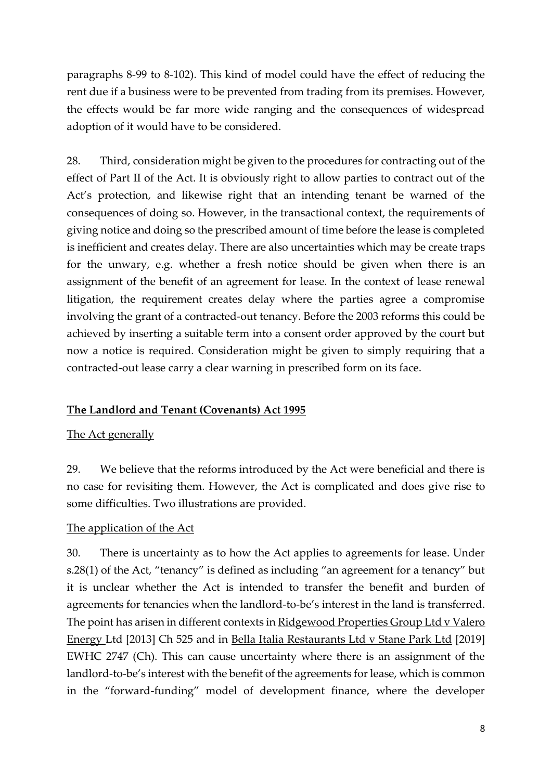paragraphs 8-99 to 8-102). This kind of model could have the effect of reducing the rent due if a business were to be prevented from trading from its premises. However, the effects would be far more wide ranging and the consequences of widespread adoption of it would have to be considered.

28. Third, consideration might be given to the procedures for contracting out of the effect of Part II of the Act. It is obviously right to allow parties to contract out of the Act's protection, and likewise right that an intending tenant be warned of the consequences of doing so. However, in the transactional context, the requirements of giving notice and doing so the prescribed amount of time before the lease is completed is inefficient and creates delay. There are also uncertainties which may be create traps for the unwary, e.g. whether a fresh notice should be given when there is an assignment of the benefit of an agreement for lease. In the context of lease renewal litigation, the requirement creates delay where the parties agree a compromise involving the grant of a contracted-out tenancy. Before the 2003 reforms this could be achieved by inserting a suitable term into a consent order approved by the court but now a notice is required. Consideration might be given to simply requiring that a contracted-out lease carry a clear warning in prescribed form on its face.

#### **The Landlord and Tenant (Covenants) Act 1995**

#### The Act generally

29. We believe that the reforms introduced by the Act were beneficial and there is no case for revisiting them. However, the Act is complicated and does give rise to some difficulties. Two illustrations are provided.

#### The application of the Act

30. There is uncertainty as to how the Act applies to agreements for lease. Under s.28(1) of the Act, "tenancy" is defined as including "an agreement for a tenancy" but it is unclear whether the Act is intended to transfer the benefit and burden of agreements for tenancies when the landlord-to-be's interest in the land is transferred. The point has arisen in different contexts in Ridgewood Properties Group Ltd v Valero Energy Ltd [2013] Ch 525 and in Bella Italia Restaurants Ltd v Stane Park Ltd [2019] EWHC 2747 (Ch). This can cause uncertainty where there is an assignment of the landlord-to-be's interest with the benefit of the agreements for lease, which is common in the "forward-funding" model of development finance, where the developer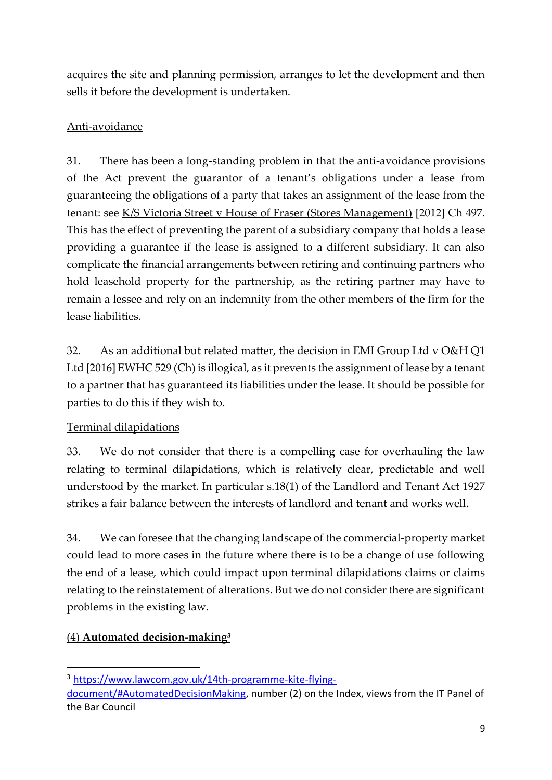acquires the site and planning permission, arranges to let the development and then sells it before the development is undertaken.

## Anti-avoidance

31. There has been a long-standing problem in that the anti-avoidance provisions of the Act prevent the guarantor of a tenant's obligations under a lease from guaranteeing the obligations of a party that takes an assignment of the lease from the tenant: see K/S Victoria Street v House of Fraser (Stores Management) [2012] Ch 497. This has the effect of preventing the parent of a subsidiary company that holds a lease providing a guarantee if the lease is assigned to a different subsidiary. It can also complicate the financial arrangements between retiring and continuing partners who hold leasehold property for the partnership, as the retiring partner may have to remain a lessee and rely on an indemnity from the other members of the firm for the lease liabilities.

32. As an additional but related matter, the decision in EMI Group Ltd v O&H Q1 Ltd [2016] EWHC 529 (Ch) is illogical, as it prevents the assignment of lease by a tenant to a partner that has guaranteed its liabilities under the lease. It should be possible for parties to do this if they wish to.

# Terminal dilapidations

33. We do not consider that there is a compelling case for overhauling the law relating to terminal dilapidations, which is relatively clear, predictable and well understood by the market. In particular s.18(1) of the Landlord and Tenant Act 1927 strikes a fair balance between the interests of landlord and tenant and works well.

34. We can foresee that the changing landscape of the commercial-property market could lead to more cases in the future where there is to be a change of use following the end of a lease, which could impact upon terminal dilapidations claims or claims relating to the reinstatement of alterations. But we do not consider there are significant problems in the existing law.

# (4) **[Automated decision-making](https://www.lawcom.gov.uk/14th-programme-kite-flying-document/#AutomatedDecisionMaking)<sup>3</sup>**

<sup>3</sup> [https://www.lawcom.gov.uk/14th-programme-kite-flying-](https://www.lawcom.gov.uk/14th-programme-kite-flying-document/#AutomatedDecisionMaking)

[document/#AutomatedDecisionMaking,](https://www.lawcom.gov.uk/14th-programme-kite-flying-document/#AutomatedDecisionMaking) number (2) on the Index, views from the IT Panel of the Bar Council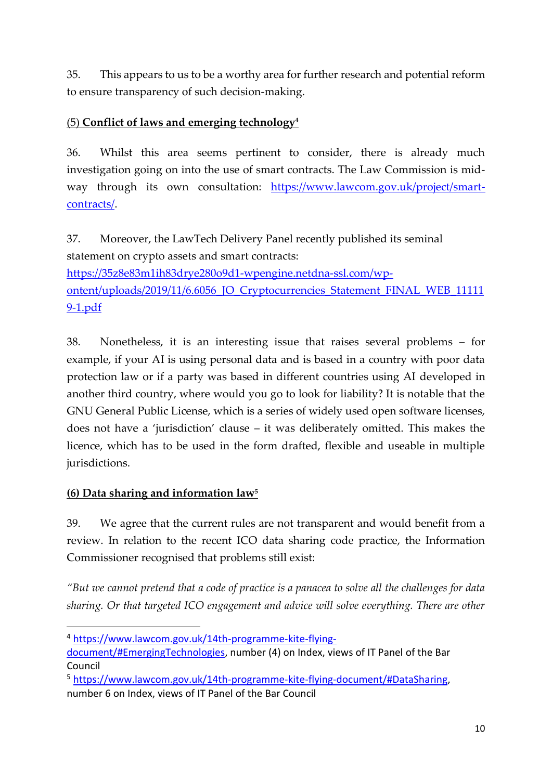35. This appears to us to be a worthy area for further research and potential reform to ensure transparency of such decision-making.

## (5) **[Conflict of laws and emerging technology](https://www.lawcom.gov.uk/14th-programme-kite-flying-document/#EmergingTechnologies)<sup>4</sup>**

36. Whilst this area seems pertinent to consider, there is already much investigation going on into the use of smart contracts. The Law Commission is midway through its own consultation: [https://www.lawcom.gov.uk/project/smart](https://www.lawcom.gov.uk/project/smart-contracts/)[contracts/.](https://www.lawcom.gov.uk/project/smart-contracts/)

37. Moreover, the LawTech Delivery Panel recently published its seminal statement on crypto assets and smart contracts: [https://35z8e83m1ih83drye280o9d1-wpengine.netdna-ssl.com/wp](https://35z8e83m1ih83drye280o9d1-wpengine.netdna-ssl.com/wp-ontent/uploads/2019/11/6.6056_JO_Cryptocurrencies_Statement_FINAL_WEB_111119-1.pdf)[ontent/uploads/2019/11/6.6056\\_JO\\_Cryptocurrencies\\_Statement\\_FINAL\\_WEB\\_11111](https://35z8e83m1ih83drye280o9d1-wpengine.netdna-ssl.com/wp-ontent/uploads/2019/11/6.6056_JO_Cryptocurrencies_Statement_FINAL_WEB_111119-1.pdf) [9-1.pdf](https://35z8e83m1ih83drye280o9d1-wpengine.netdna-ssl.com/wp-ontent/uploads/2019/11/6.6056_JO_Cryptocurrencies_Statement_FINAL_WEB_111119-1.pdf)

38. Nonetheless, it is an interesting issue that raises several problems – for example, if your AI is using personal data and is based in a country with poor data protection law or if a party was based in different countries using AI developed in another third country, where would you go to look for liability? It is notable that the GNU General Public License, which is a series of widely used open software licenses, does not have a 'jurisdiction' clause – it was deliberately omitted. This makes the licence, which has to be used in the form drafted, flexible and useable in multiple jurisdictions.

# **(6) [Data sharing and information law](https://www.lawcom.gov.uk/14th-programme-kite-flying-document/#DataSharing)<sup>5</sup>**

39. We agree that the current rules are not transparent and would benefit from a review. In relation to the recent ICO data sharing code practice, the Information Commissioner recognised that problems still exist:

*"But we cannot pretend that a code of practice is a panacea to solve all the challenges for data sharing. Or that targeted ICO engagement and advice will solve everything. There are other* 

<sup>4</sup> [https://www.lawcom.gov.uk/14th-programme-kite-flying-](https://www.lawcom.gov.uk/14th-programme-kite-flying-document/#EmergingTechnologies)

[document/#EmergingTechnologies,](https://www.lawcom.gov.uk/14th-programme-kite-flying-document/#EmergingTechnologies) number (4) on Index, views of IT Panel of the Bar Council

<sup>5</sup> [https://www.lawcom.gov.uk/14th-programme-kite-flying-document/#DataSharing,](https://www.lawcom.gov.uk/14th-programme-kite-flying-document/#DataSharing) number 6 on Index, views of IT Panel of the Bar Council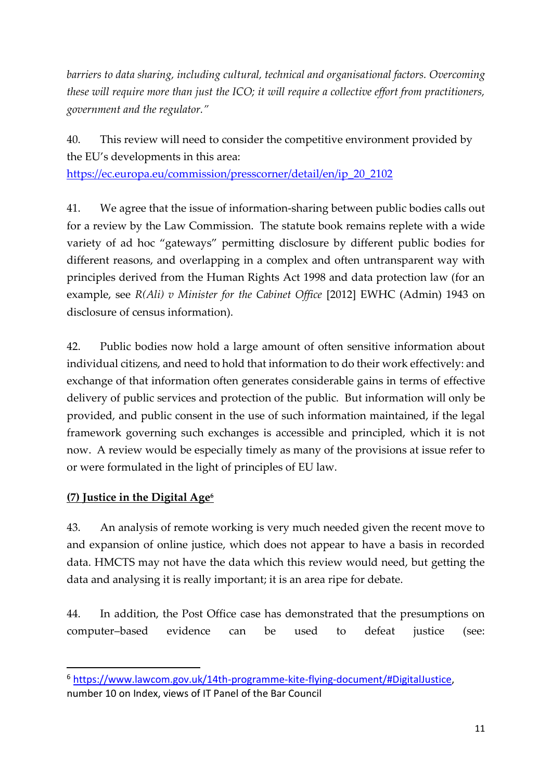*barriers to data sharing, including cultural, technical and organisational factors. Overcoming these will require more than just the ICO; it will require a collective effort from practitioners, government and the regulator."* 

40. This review will need to consider the competitive environment provided by the EU's developments in this area:

[https://ec.europa.eu/commission/presscorner/detail/en/ip\\_20\\_2102](https://ec.europa.eu/commission/presscorner/detail/en/ip_20_2102)

41. We agree that the issue of information-sharing between public bodies calls out for a review by the Law Commission. The statute book remains replete with a wide variety of ad hoc "gateways" permitting disclosure by different public bodies for different reasons, and overlapping in a complex and often untransparent way with principles derived from the Human Rights Act 1998 and data protection law (for an example, see *R(Ali) v Minister for the Cabinet Office* [2012] EWHC (Admin) 1943 on disclosure of census information).

42. Public bodies now hold a large amount of often sensitive information about individual citizens, and need to hold that information to do their work effectively: and exchange of that information often generates considerable gains in terms of effective delivery of public services and protection of the public. But information will only be provided, and public consent in the use of such information maintained, if the legal framework governing such exchanges is accessible and principled, which it is not now. A review would be especially timely as many of the provisions at issue refer to or were formulated in the light of principles of EU law.

#### **(7) Justice in the Digital Age<sup>6</sup>**

43. An analysis of remote working is very much needed given the recent move to and expansion of online justice, which does not appear to have a basis in recorded data. HMCTS may not have the data which this review would need, but getting the data and analysing it is really important; it is an area ripe for debate.

44. In addition, the Post Office case has demonstrated that the presumptions on computer–based evidence can be used to defeat justice (see:

<sup>6</sup> [https://www.lawcom.gov.uk/14th-programme-kite-flying-document/#DigitalJustice,](https://www.lawcom.gov.uk/14th-programme-kite-flying-document/#DigitalJustice) number 10 on Index, views of IT Panel of the Bar Council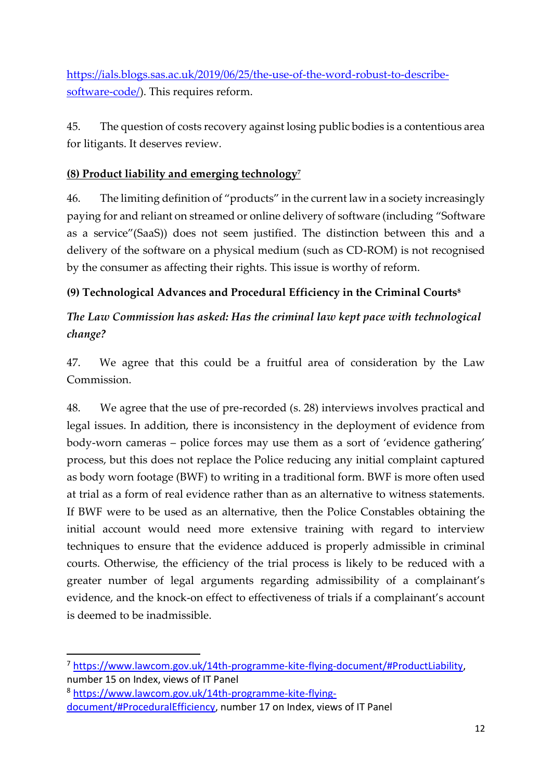[https://ials.blogs.sas.ac.uk/2019/06/25/the-use-of-the-word-robust-to-describe](https://ials.blogs.sas.ac.uk/2019/06/25/the-use-of-the-word-robust-to-describe-software-code/)[software-code/\)](https://ials.blogs.sas.ac.uk/2019/06/25/the-use-of-the-word-robust-to-describe-software-code/). This requires reform.

45. The question of costs recovery against losing public bodies is a contentious area for litigants. It deserves review.

## **(8) Product liability and emerging technology<sup>7</sup>**

46. The limiting definition of "products" in the current law in a society increasingly paying for and reliant on streamed or online delivery of software (including "Software as a service"(SaaS)) does not seem justified. The distinction between this and a delivery of the software on a physical medium (such as CD-ROM) is not recognised by the consumer as affecting their rights. This issue is worthy of reform.

## **(9) Technological Advances and Procedural Efficiency in the Criminal Courts<sup>8</sup>**

# *The Law Commission has asked: Has the criminal law kept pace with technological change?*

47. We agree that this could be a fruitful area of consideration by the Law Commission.

48. We agree that the use of pre-recorded (s. 28) interviews involves practical and legal issues. In addition, there is inconsistency in the deployment of evidence from body-worn cameras – police forces may use them as a sort of 'evidence gathering' process, but this does not replace the Police reducing any initial complaint captured as body worn footage (BWF) to writing in a traditional form. BWF is more often used at trial as a form of real evidence rather than as an alternative to witness statements. If BWF were to be used as an alternative, then the Police Constables obtaining the initial account would need more extensive training with regard to interview techniques to ensure that the evidence adduced is properly admissible in criminal courts. Otherwise, the efficiency of the trial process is likely to be reduced with a greater number of legal arguments regarding admissibility of a complainant's evidence, and the knock-on effect to effectiveness of trials if a complainant's account is deemed to be inadmissible.

<sup>7</sup> [https://www.lawcom.gov.uk/14th-programme-kite-flying-document/#ProductLiability,](https://www.lawcom.gov.uk/14th-programme-kite-flying-document/#ProductLiability) number 15 on Index, views of IT Panel

<sup>8</sup> [https://www.lawcom.gov.uk/14th-programme-kite-flying-](https://www.lawcom.gov.uk/14th-programme-kite-flying-document/#ProceduralEfficiency)

[document/#ProceduralEfficiency,](https://www.lawcom.gov.uk/14th-programme-kite-flying-document/#ProceduralEfficiency) number 17 on Index, views of IT Panel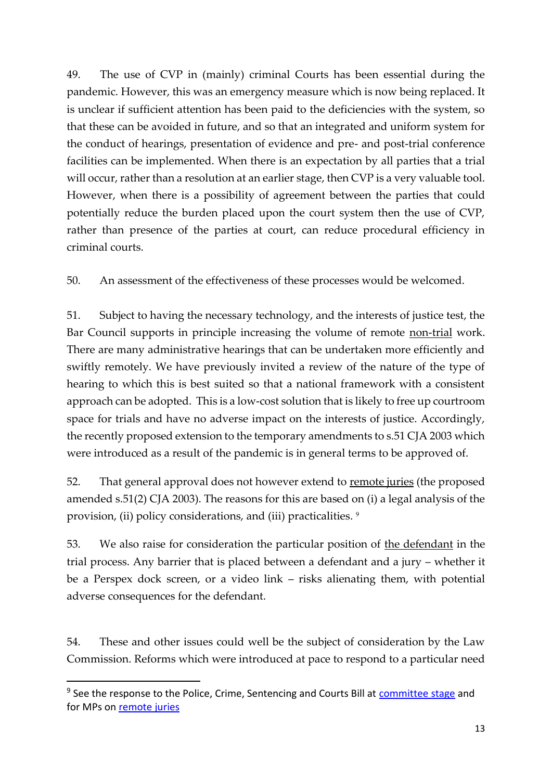49. The use of CVP in (mainly) criminal Courts has been essential during the pandemic. However, this was an emergency measure which is now being replaced. It is unclear if sufficient attention has been paid to the deficiencies with the system, so that these can be avoided in future, and so that an integrated and uniform system for the conduct of hearings, presentation of evidence and pre- and post-trial conference facilities can be implemented. When there is an expectation by all parties that a trial will occur, rather than a resolution at an earlier stage, then CVP is a very valuable tool. However, when there is a possibility of agreement between the parties that could potentially reduce the burden placed upon the court system then the use of CVP, rather than presence of the parties at court, can reduce procedural efficiency in criminal courts.

50. An assessment of the effectiveness of these processes would be welcomed.

51. Subject to having the necessary technology, and the interests of justice test, the Bar Council supports in principle increasing the volume of remote non-trial work. There are many administrative hearings that can be undertaken more efficiently and swiftly remotely. We have previously invited a review of the nature of the type of hearing to which this is best suited so that a national framework with a consistent approach can be adopted. This is a low-cost solution that is likely to free up courtroom space for trials and have no adverse impact on the interests of justice. Accordingly, the recently proposed extension to the temporary amendments to s.51 CJA 2003 which were introduced as a result of the pandemic is in general terms to be approved of.

52. That general approval does not however extend to remote juries (the proposed amended s.51(2) CJA 2003). The reasons for this are based on (i) a legal analysis of the provision, (ii) policy considerations, and (iii) practicalities. <sup>9</sup>

53. We also raise for consideration the particular position of the defendant in the trial process. Any barrier that is placed between a defendant and a jury – whether it be a Perspex dock screen, or a video link – risks alienating them, with potential adverse consequences for the defendant.

54. These and other issues could well be the subject of consideration by the Law Commission. Reforms which were introduced at pace to respond to a particular need

<sup>&</sup>lt;sup>9</sup> See the response to the Police, Crime, Sentencing and Courts Bill at [committee stage](https://www.barcouncil.org.uk/uploads/assets/d0a4526e-4a9a-444c-92e7924db127930e/Bar-Council-Long-Briefing-Police-Crime-Sentencing-and-Courts-Bill-June-2021.pdf) and for MPs on [remote juries](https://www.barcouncil.org.uk/uploads/assets/91e75e09-336b-4f00-ba16baf568b78457/Bar-Council-Briefing-PCSC-Remote-Juries.pdf)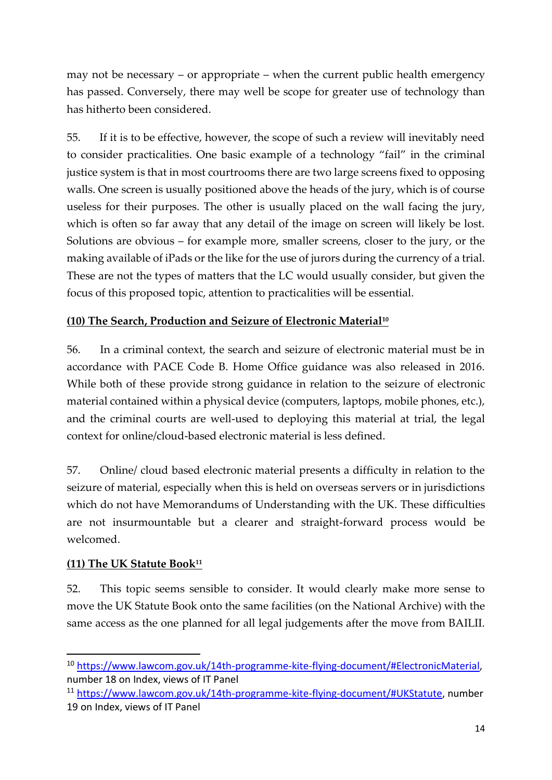may not be necessary – or appropriate – when the current public health emergency has passed. Conversely, there may well be scope for greater use of technology than has hitherto been considered.

55. If it is to be effective, however, the scope of such a review will inevitably need to consider practicalities. One basic example of a technology "fail" in the criminal justice system is that in most courtrooms there are two large screens fixed to opposing walls. One screen is usually positioned above the heads of the jury, which is of course useless for their purposes. The other is usually placed on the wall facing the jury, which is often so far away that any detail of the image on screen will likely be lost. Solutions are obvious – for example more, smaller screens, closer to the jury, or the making available of iPads or the like for the use of jurors during the currency of a trial. These are not the types of matters that the LC would usually consider, but given the focus of this proposed topic, attention to practicalities will be essential.

### **(10) The Search, Production and Seizure of Electronic Material<sup>10</sup>**

56. In a criminal context, the search and seizure of electronic material must be in accordance with PACE Code B. Home Office guidance was also released in 2016. While both of these provide strong guidance in relation to the seizure of electronic material contained within a physical device (computers, laptops, mobile phones, etc.), and the criminal courts are well-used to deploying this material at trial, the legal context for online/cloud-based electronic material is less defined.

57. Online/ cloud based electronic material presents a difficulty in relation to the seizure of material, especially when this is held on overseas servers or in jurisdictions which do not have Memorandums of Understanding with the UK. These difficulties are not insurmountable but a clearer and straight-forward process would be welcomed.

#### **(11) The UK Statute Book<sup>11</sup>**

52. This topic seems sensible to consider. It would clearly make more sense to move the UK Statute Book onto the same facilities (on the National Archive) with the same access as the one planned for all legal judgements after the move from BAILII.

<sup>10</sup> [https://www.lawcom.gov.uk/14th-programme-kite-flying-document/#ElectronicMaterial,](https://www.lawcom.gov.uk/14th-programme-kite-flying-document/#ElectronicMaterial) number 18 on Index, views of IT Panel

<sup>11</sup> [https://www.lawcom.gov.uk/14th-programme-kite-flying-document/#UKStatute,](https://www.lawcom.gov.uk/14th-programme-kite-flying-document/#UKStatute) number 19 on Index, views of IT Panel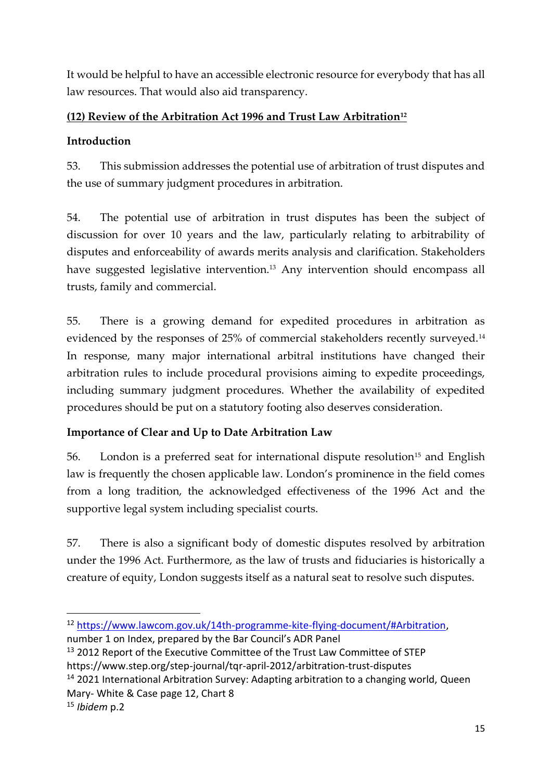It would be helpful to have an accessible electronic resource for everybody that has all law resources. That would also aid transparency.

## **(12) Review of the Arbitration Act 1996 and Trust Law Arbitration<sup>12</sup>**

## **Introduction**

53. This submission addresses the potential use of arbitration of trust disputes and the use of summary judgment procedures in arbitration.

54. The potential use of arbitration in trust disputes has been the subject of discussion for over 10 years and the law, particularly relating to arbitrability of disputes and enforceability of awards merits analysis and clarification. Stakeholders have suggested legislative intervention.<sup>13</sup> Any intervention should encompass all trusts, family and commercial.

55. There is a growing demand for expedited procedures in arbitration as evidenced by the responses of 25% of commercial stakeholders recently surveyed.<sup>14</sup> In response, many major international arbitral institutions have changed their arbitration rules to include procedural provisions aiming to expedite proceedings, including summary judgment procedures. Whether the availability of expedited procedures should be put on a statutory footing also deserves consideration.

# **Importance of Clear and Up to Date Arbitration Law**

56. London is a preferred seat for international dispute resolution<sup>15</sup> and English law is frequently the chosen applicable law. London's prominence in the field comes from a long tradition, the acknowledged effectiveness of the 1996 Act and the supportive legal system including specialist courts.

57. There is also a significant body of domestic disputes resolved by arbitration under the 1996 Act. Furthermore, as the law of trusts and fiduciaries is historically a creature of equity, London suggests itself as a natural seat to resolve such disputes.

<sup>12</sup> [https://www.lawcom.gov.uk/14th-programme-kite-flying-document/#Arbitration,](https://www.lawcom.gov.uk/14th-programme-kite-flying-document/#Arbitration)

number 1 on Index, prepared by the Bar Council's ADR Panel

<sup>&</sup>lt;sup>13</sup> 2012 Report of the Executive Committee of the Trust Law Committee of STEP https://www.step.org/step-journal/tqr-april-2012/arbitration-trust-disputes

<sup>&</sup>lt;sup>14</sup> 2021 International Arbitration Survey: Adapting arbitration to a changing world, Queen Mary- White & Case page 12, Chart 8

<sup>15</sup> *Ibidem* p.2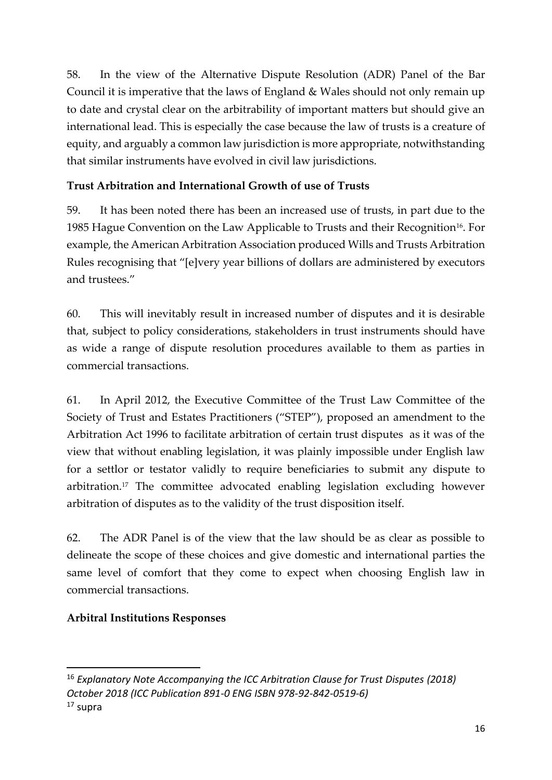58. In the view of the Alternative Dispute Resolution (ADR) Panel of the Bar Council it is imperative that the laws of England & Wales should not only remain up to date and crystal clear on the arbitrability of important matters but should give an international lead. This is especially the case because the law of trusts is a creature of equity, and arguably a common law jurisdiction is more appropriate, notwithstanding that similar instruments have evolved in civil law jurisdictions.

# **Trust Arbitration and International Growth of use of Trusts**

59. It has been noted there has been an increased use of trusts, in part due to the 1985 Hague Convention on the Law Applicable to Trusts and their Recognition<sup>16</sup>. For example, the American Arbitration Association produced Wills and Trusts Arbitration Rules recognising that "[e]very year billions of dollars are administered by executors and trustees."

60. This will inevitably result in increased number of disputes and it is desirable that, subject to policy considerations, stakeholders in trust instruments should have as wide a range of dispute resolution procedures available to them as parties in commercial transactions.

61. In April 2012, the Executive Committee of the Trust Law Committee of the Society of Trust and Estates Practitioners ("STEP"), proposed an amendment to the Arbitration Act 1996 to facilitate arbitration of certain trust disputes as it was of the view that without enabling legislation, it was plainly impossible under English law for a settlor or testator validly to require beneficiaries to submit any dispute to arbitration.<sup>17</sup> The committee advocated enabling legislation excluding however arbitration of disputes as to the validity of the trust disposition itself.

62. The ADR Panel is of the view that the law should be as clear as possible to delineate the scope of these choices and give domestic and international parties the same level of comfort that they come to expect when choosing English law in commercial transactions.

## **Arbitral Institutions Responses**

<sup>16</sup> *Explanatory Note Accompanying the ICC Arbitration Clause for Trust Disputes (2018) October 2018 (ICC Publication 891-0 ENG ISBN 978-92-842-0519-6)* <sup>17</sup> supra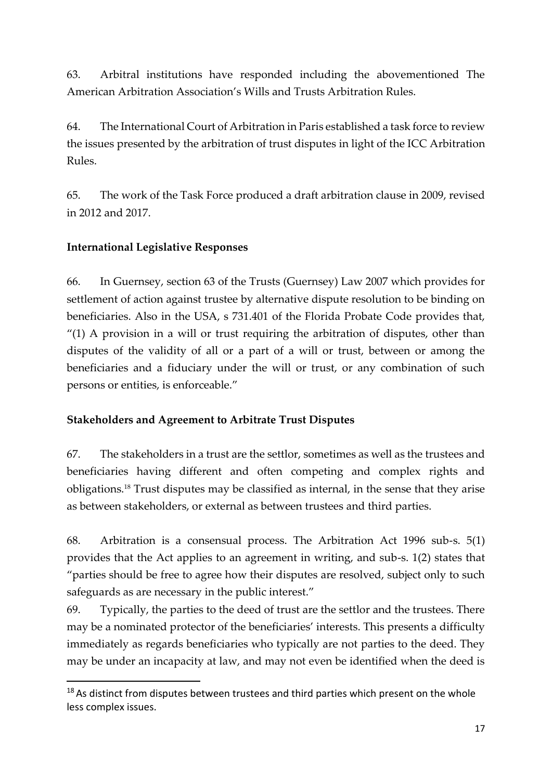63. Arbitral institutions have responded including the abovementioned The American Arbitration Association's Wills and Trusts Arbitration Rules.

64. The International Court of Arbitration in Paris established a task force to review the issues presented by the arbitration of trust disputes in light of the ICC Arbitration Rules.

65. The work of the Task Force produced a draft arbitration clause in 2009, revised in 2012 and 2017.

### **International Legislative Responses**

66. In Guernsey, section 63 of the Trusts (Guernsey) Law 2007 which provides for settlement of action against trustee by alternative dispute resolution to be binding on beneficiaries. Also in the USA, s 731.401 of the Florida Probate Code provides that, "(1) A provision in a will or trust requiring the arbitration of disputes, other than disputes of the validity of all or a part of a will or trust, between or among the beneficiaries and a fiduciary under the will or trust, or any combination of such persons or entities, is enforceable."

#### **Stakeholders and Agreement to Arbitrate Trust Disputes**

67. The stakeholders in a trust are the settlor, sometimes as well as the trustees and beneficiaries having different and often competing and complex rights and obligations.<sup>18</sup> Trust disputes may be classified as internal, in the sense that they arise as between stakeholders, or external as between trustees and third parties.

68. Arbitration is a consensual process. The Arbitration Act 1996 sub-s. 5(1) provides that the Act applies to an agreement in writing, and sub-s. 1(2) states that "parties should be free to agree how their disputes are resolved, subject only to such safeguards as are necessary in the public interest."

69. Typically, the parties to the deed of trust are the settlor and the trustees. There may be a nominated protector of the beneficiaries' interests. This presents a difficulty immediately as regards beneficiaries who typically are not parties to the deed. They may be under an incapacity at law, and may not even be identified when the deed is

<sup>&</sup>lt;sup>18</sup> As distinct from disputes between trustees and third parties which present on the whole less complex issues.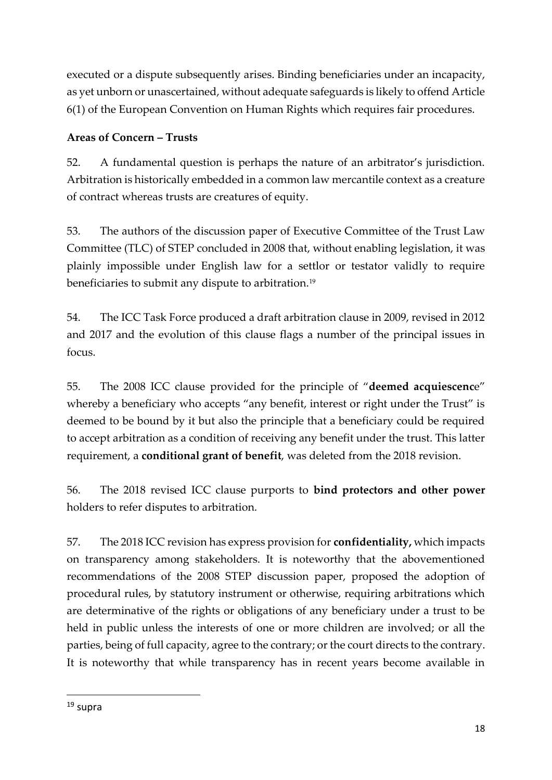executed or a dispute subsequently arises. Binding beneficiaries under an incapacity, as yet unborn or unascertained, without adequate safeguards is likely to offend Article 6(1) of the European Convention on Human Rights which requires fair procedures.

# **Areas of Concern – Trusts**

52. A fundamental question is perhaps the nature of an arbitrator's jurisdiction. Arbitration is historically embedded in a common law mercantile context as a creature of contract whereas trusts are creatures of equity.

53. The authors of the discussion paper of Executive Committee of the Trust Law Committee (TLC) of STEP concluded in 2008 that, without enabling legislation, it was plainly impossible under English law for a settlor or testator validly to require beneficiaries to submit any dispute to arbitration.<sup>19</sup>

54. The ICC Task Force produced a draft arbitration clause in 2009, revised in 2012 and 2017 and the evolution of this clause flags a number of the principal issues in focus.

55. The 2008 ICC clause provided for the principle of "**deemed acquiescenc**e" whereby a beneficiary who accepts "any benefit, interest or right under the Trust" is deemed to be bound by it but also the principle that a beneficiary could be required to accept arbitration as a condition of receiving any benefit under the trust. This latter requirement, a **conditional grant of benefit**, was deleted from the 2018 revision.

56. The 2018 revised ICC clause purports to **bind protectors and other power** holders to refer disputes to arbitration.

57. The 2018 ICC revision has express provision for **confidentiality,** which impacts on transparency among stakeholders. It is noteworthy that the abovementioned recommendations of the 2008 STEP discussion paper, proposed the adoption of procedural rules, by statutory instrument or otherwise, requiring arbitrations which are determinative of the rights or obligations of any beneficiary under a trust to be held in public unless the interests of one or more children are involved; or all the parties, being of full capacity, agree to the contrary; or the court directs to the contrary. It is noteworthy that while transparency has in recent years become available in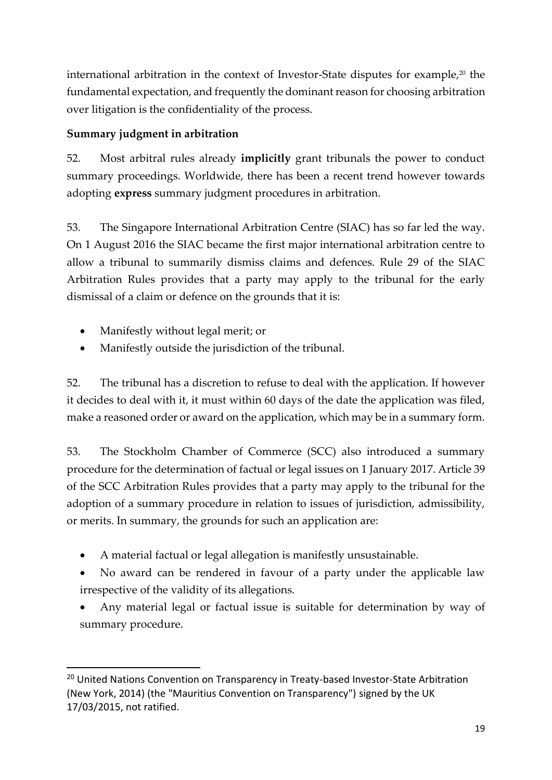international arbitration in the context of Investor-State disputes for example, $20$  the fundamental expectation, and frequently the dominant reason for choosing arbitration over litigation is the confidentiality of the process.

## **Summary judgment in arbitration**

52. Most arbitral rules already **implicitly** grant tribunals the power to conduct summary proceedings. Worldwide, there has been a recent trend however towards adopting **express** summary judgment procedures in arbitration.

53. The Singapore International Arbitration Centre (SIAC) has so far led the way. On 1 August 2016 the SIAC became the first major international arbitration centre to allow a tribunal to summarily dismiss claims and defences. Rule 29 of the SIAC Arbitration Rules provides that a party may apply to the tribunal for the early dismissal of a claim or defence on the grounds that it is:

- Manifestly without legal merit; or
- Manifestly outside the jurisdiction of the tribunal.

52. The tribunal has a discretion to refuse to deal with the application. If however it decides to deal with it, it must within 60 days of the date the application was filed, make a reasoned order or award on the application, which may be in a summary form.

53. The Stockholm Chamber of Commerce (SCC) also introduced a summary procedure for the determination of factual or legal issues on 1 January 2017. Article 39 of the SCC Arbitration Rules provides that a party may apply to the tribunal for the adoption of a summary procedure in relation to issues of jurisdiction, admissibility, or merits. In summary, the grounds for such an application are:

- A material factual or legal allegation is manifestly unsustainable.
- No award can be rendered in favour of a party under the applicable law irrespective of the validity of its allegations.
- Any material legal or factual issue is suitable for determination by way of summary procedure.

<sup>&</sup>lt;sup>20</sup> United Nations Convention on Transparency in Treaty-based Investor-State Arbitration (New York, 2014) (the "Mauritius Convention on Transparency") signed by the UK 17/03/2015, not ratified.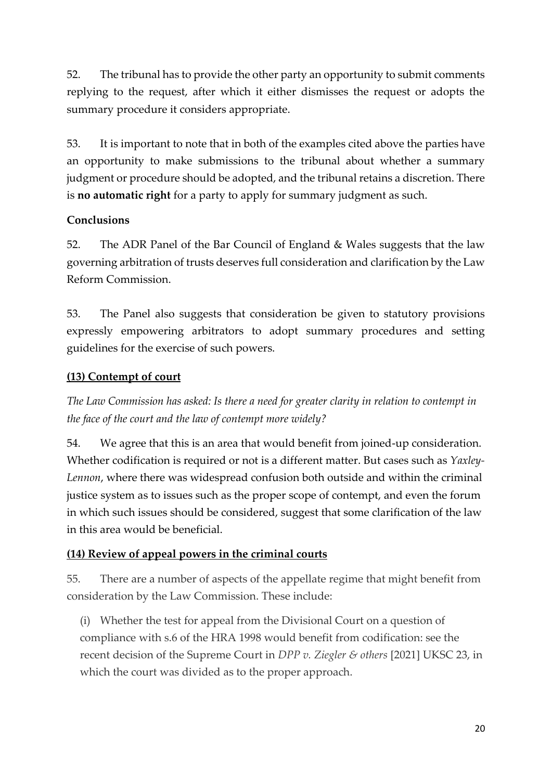52. The tribunal has to provide the other party an opportunity to submit comments replying to the request, after which it either dismisses the request or adopts the summary procedure it considers appropriate.

53. It is important to note that in both of the examples cited above the parties have an opportunity to make submissions to the tribunal about whether a summary judgment or procedure should be adopted, and the tribunal retains a discretion. There is **no automatic right** for a party to apply for summary judgment as such.

#### **Conclusions**

52. The ADR Panel of the Bar Council of England & Wales suggests that the law governing arbitration of trusts deserves full consideration and clarification by the Law Reform Commission.

53. The Panel also suggests that consideration be given to statutory provisions expressly empowering arbitrators to adopt summary procedures and setting guidelines for the exercise of such powers.

#### **(13) Contempt of court**

*The Law Commission has asked: Is there a need for greater clarity in relation to contempt in the face of the court and the law of contempt more widely?*

54. We agree that this is an area that would benefit from joined-up consideration. Whether codification is required or not is a different matter. But cases such as *Yaxley-Lennon*, where there was widespread confusion both outside and within the criminal justice system as to issues such as the proper scope of contempt, and even the forum in which such issues should be considered, suggest that some clarification of the law in this area would be beneficial.

#### **(14) Review of appeal powers in the criminal courts**

55. There are a number of aspects of the appellate regime that might benefit from consideration by the Law Commission. These include:

(i) Whether the test for appeal from the Divisional Court on a question of compliance with s.6 of the HRA 1998 would benefit from codification: see the recent decision of the Supreme Court in *DPP v. Ziegler & others* [2021] UKSC 23, in which the court was divided as to the proper approach.